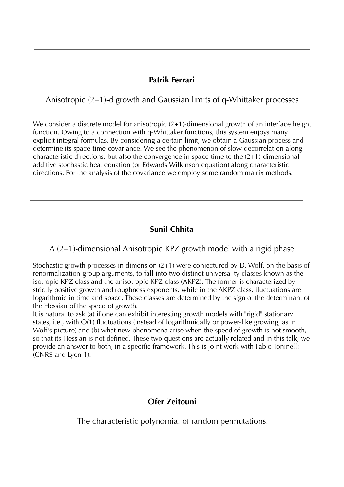# **Patrik Ferrari**

Anisotropic (2+1)-d growth and Gaussian limits of q-Whittaker processes

We consider a discrete model for anisotropic  $(2+1)$ -dimensional growth of an interface height function. Owing to a connection with q-Whittaker functions, this system enjoys many explicit integral formulas. By considering a certain limit, we obtain a Gaussian process and determine its space-time covariance. We see the phenomenon of slow-decorrelation along characteristic directions, but also the convergence in space-time to the (2+1)-dimensional additive stochastic heat equation (or Edwards Wilkinson equation) along characteristic directions. For the analysis of the covariance we employ some random matrix methods.

# **Sunil Chhita**

A (2+1)-dimensional Anisotropic KPZ growth model with a rigid phase.

Stochastic growth processes in dimension (2+1) were conjectured by D. Wolf, on the basis of renormalization-group arguments, to fall into two distinct universality classes known as the isotropic KPZ class and the anisotropic KPZ class (AKPZ). The former is characterized by strictly positive growth and roughness exponents, while in the AKPZ class, fluctuations are logarithmic in time and space. These classes are determined by the sign of the determinant of the Hessian of the speed of growth.

It is natural to ask (a) if one can exhibit interesting growth models with "rigid" stationary states, i.e., with O(1) fluctuations (instead of logarithmically or power-like growing, as in Wolf's picture) and (b) what new phenomena arise when the speed of growth is not smooth, so that its Hessian is not defined. These two questions are actually related and in this talk, we provide an answer to both, in a specific framework. This is joint work with Fabio Toninelli (CNRS and Lyon 1).

# **Ofer Zeitouni**

The characteristic polynomial of random permutations.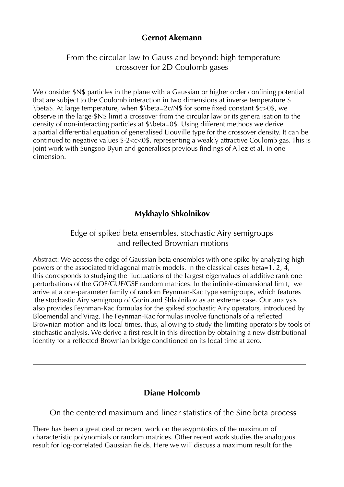# **Gernot Akemann**

 From the circular law to Gauss and beyond: high temperature crossover for 2D Coulomb gases

We consider  $SN\$  particles in the plane with a Gaussian or higher order confining potential that are subject to the Coulomb interaction in two dimensions at inverse temperature \$ \beta\$. At large temperature, when \$\beta=2c/N\$ for some fixed constant \$c>0\$, we observe in the large-\$N\$ limit a crossover from the circular law or its generalisation to the density of non-interacting particles at \$\beta=0\$. Using different methods we derive a partial differential equation of generalised Liouville type for the crossover density. It can be continued to negative values \$-2<c<0\$, representing a weakly attractive Coulomb gas. This is joint work with Sungsoo Byun and generalises previous findings of Allez et al. in one dimension.

# **Mykhaylo Shkolnikov**

# Edge of spiked beta ensembles, stochastic Airy semigroups and reflected Brownian motions

Abstract: We access the edge of Gaussian beta ensembles with one spike by analyzing high powers of the associated tridiagonal matrix models. In the classical cases beta=1, 2, 4, this corresponds to studying the fluctuations of the largest eigenvalues of additive rank one perturbations of the GOE/GUE/GSE random matrices. In the infinite-dimensional limit, we arrive at a one-parameter family of random Feynman-Kac type semigroups, which features the stochastic Airy semigroup of Gorin and Shkolnikov as an extreme case. Our analysis also provides Feynman-Kac formulas for the spiked stochastic Airy operators, introduced by Bloemendal and Virag. The Feynman-Kac formulas involve functionals of a reflected Brownian motion and its local times, thus, allowing to study the limiting operators by tools of stochastic analysis. We derive a first result in this direction by obtaining a new distributional identity for a reflected Brownian bridge conditioned on its local time at zero.

# **Diane Holcomb**

On the centered maximum and linear statistics of the Sine beta process

There has been a great deal or recent work on the asypmtotics of the maximum of characteristic polynomials or random matrices. Other recent work studies the analogous result for log-correlated Gaussian fields. Here we will discuss a maximum result for the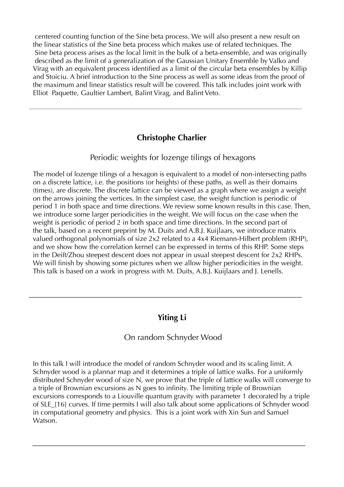centered counting function of the Sine beta process. We will also present a new result on the linear statistics of the Sine beta process which makes use of related techniques. The Sine beta process arises as the local limit in the bulk of a beta-ensemble, and was originally described as the limit of a generalization of the Gaussian Unitary Ensemble by Valko and Virag with an equivalent process identified as a limit of the circular beta ensembles by Killip and Stoiciu. A brief introduction to the Sine process as well as some ideas from the proof of the maximum and linear statistics result will be covered. This talk includes joint work with Elliot Paquette, Gaultier Lambert, Balint Virag, and Balint Veto.

# **Christophe Charlier**

### Periodic weights for lozenge tilings of hexagons

The model of lozenge tilings of a hexagon is equivalent to a model of non-intersecting paths on a discrete lattice, i.e. the positions (or heights) of these paths, as well as their domains (times), are discrete. The discrete lattice can be viewed as a graph where we assign a weight on the arrows joining the vertices. In the simplest case, the weight function is periodic of period 1 in both space and time directions. We review some known results in this case. Then, we introduce some larger periodicities in the weight. We will focus on the case when the weight is periodic of period 2 in both space and time directions. In the second part of the talk, based on a recent preprint by M. Duits and A.B.J. Kuijlaars, we introduce matrix valued orthogonal polynomials of size 2x2 related to a 4x4 Riemann-Hilbert problem (RHP), and we show how the correlation kernel can be expressed in terms of this RHP. Some steps in the Deift/Zhou steepest descent does not appear in usual steepest descent for 2x2 RHPs. We will finish by showing some pictures when we allow higher periodicities in the weight. This talk is based on a work in progress with M. Duits, A.B.J. Kuijlaars and J. Lenells.

# **Yiting Li**

## On random Schnyder Wood

In this talk I will introduce the model of random Schnyder wood and its scaling limit. A Schnyder wood is a plannar map and it determines a triple of lattice walks. For a uniformly distributed Schnyder wood of size N, we prove that the triple of lattice walks will converge to a triple of Brownian excursions as N goes to infinity. The limiting triple of Brownian excursions corresponds to a Liouville quantum gravity with parameter 1 decorated by a triple of SLE\_{16} curves. If time permits I will also talk about some applications of Schnyder wood in computational geometry and physics. This is a joint work with Xin Sun and Samuel Watson.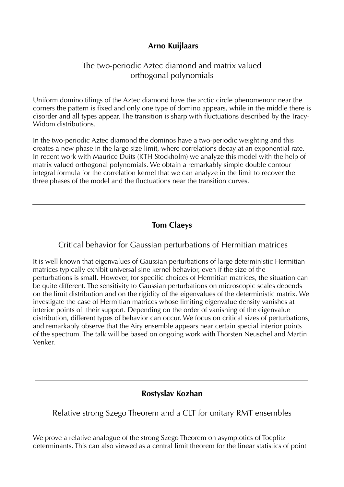# **Arno Kuijlaars**

## The two-periodic Aztec diamond and matrix valued orthogonal polynomials

Uniform domino tilings of the Aztec diamond have the arctic circle phenomenon: near the corners the pattern is fixed and only one type of domino appears, while in the middle there is disorder and all types appear. The transition is sharp with fluctuations described by the Tracy-Widom distributions.

In the two-periodic Aztec diamond the dominos have a two-periodic weighting and this creates a new phase in the large size limit, where correlations decay at an exponential rate. In recent work with Maurice Duits (KTH Stockholm) we analyze this model with the help of matrix valued orthogonal polynomials. We obtain a remarkably simple double contour integral formula for the correlation kernel that we can analyze in the limit to recover the three phases of the model and the fluctuations near the transition curves.

# **Tom Claeys**

## Critical behavior for Gaussian perturbations of Hermitian matrices

It is well known that eigenvalues of Gaussian perturbations of large deterministic Hermitian matrices typically exhibit universal sine kernel behavior, even if the size of the perturbations is small. However, for specific choices of Hermitian matrices, the situation can be quite different. The sensitivity to Gaussian perturbations on microscopic scales depends on the limit distribution and on the rigidity of the eigenvalues of the deterministic matrix. We investigate the case of Hermitian matrices whose limiting eigenvalue density vanishes at interior points of their support. Depending on the order of vanishing of the eigenvalue distribution, different types of behavior can occur. We focus on critical sizes of perturbations, and remarkably observe that the Airy ensemble appears near certain special interior points of the spectrum. The talk will be based on ongoing work with Thorsten Neuschel and Martin Venker.

# **Rostyslav Kozhan**

## Relative strong Szego Theorem and a CLT for unitary RMT ensembles

We prove a relative analogue of the strong Szego Theorem on asymptotics of Toeplitz determinants. This can also viewed as a central limit theorem for the linear statistics of point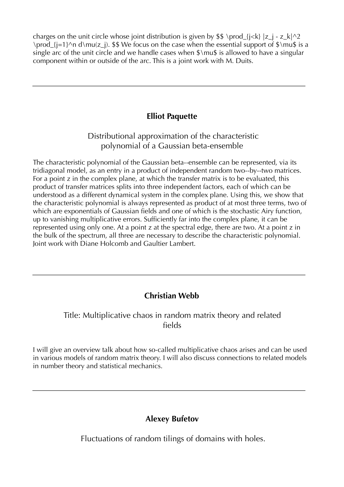charges on the unit circle whose joint distribution is given by  $\$ \ \prod\_{i\leq k} |z\_i - z\_k| \prod\_{j=1}^n d\mu(z\_j). \$\$ We focus on the case when the essential support of  $\mu$ \$ is a single arc of the unit circle and we handle cases when  $\mathcal{S}\mathcal{S}$  is allowed to have a singular component within or outside of the arc. This is a joint work with M. Duits.

# **Elliot Paquette**

 Distributional approximation of the characteristic polynomial of a Gaussian beta-ensemble

The characteristic polynomial of the Gaussian beta--ensemble can be represented, via its tridiagonal model, as an entry in a product of independent random two--by--two matrices. For a point z in the complex plane, at which the transfer matrix is to be evaluated, this product of transfer matrices splits into three independent factors, each of which can be understood as a different dynamical system in the complex plane. Using this, we show that the characteristic polynomial is always represented as product of at most three terms, two of which are exponentials of Gaussian fields and one of which is the stochastic Airy function, up to vanishing multiplicative errors. Sufficiently far into the complex plane, it can be represented using only one. At a point z at the spectral edge, there are two. At a point z in the bulk of the spectrum, all three are necessary to describe the characteristic polynomial. Joint work with Diane Holcomb and Gaultier Lambert.

# **Christian Webb**

## Title: Multiplicative chaos in random matrix theory and related fields

I will give an overview talk about how so-called multiplicative chaos arises and can be used in various models of random matrix theory. I will also discuss connections to related models in number theory and statistical mechanics.

# **Alexey Bufetov**

Fluctuations of random tilings of domains with holes.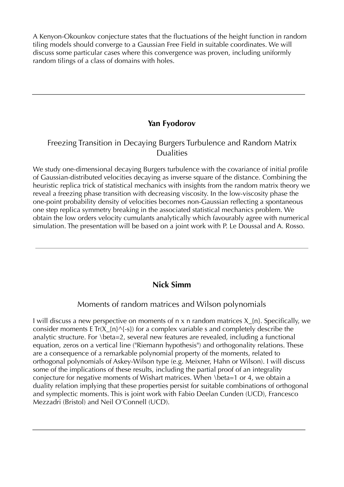A Kenyon-Okounkov conjecture states that the fluctuations of the height function in random tiling models should converge to a Gaussian Free Field in suitable coordinates. We will discuss some particular cases where this convergence was proven, including uniformly random tilings of a class of domains with holes.

# **Yan Fyodorov**

## Freezing Transition in Decaying Burgers Turbulence and Random Matrix Dualities

We study one-dimensional decaying Burgers turbulence with the covariance of initial profile of Gaussian-distributed velocities decaying as inverse square of the distance. Combining the heuristic replica trick of statistical mechanics with insights from the random matrix theory we reveal a freezing phase transition with decreasing viscosity. In the low-viscosity phase the one-point probability density of velocities becomes non-Gaussian reflecting a spontaneous one step replica symmetry breaking in the associated statistical mechanics problem. We obtain the low orders velocity cumulants analytically which favourably agree with numerical simulation. The presentation will be based on a joint work with P. Le Doussal and A. Rosso.

## **Nick Simm**

#### Moments of random matrices and Wilson polynomials

I will discuss a new perspective on moments of  $n \times n$  random matrices  $X_{n}$ . Specifically, we consider moments E Tr( $X_{n}^{(n)}$  = 5}) for a complex variable s and completely describe the analytic structure. For \beta=2, several new features are revealed, including a functional equation, zeros on a vertical line ("Riemann hypothesis") and orthogonality relations. These are a consequence of a remarkable polynomial property of the moments, related to orthogonal polynomials of Askey-Wilson type (e.g. Meixner, Hahn or Wilson). I will discuss some of the implications of these results, including the partial proof of an integrality conjecture for negative moments of Wishart matrices. When \beta=1 or 4, we obtain a duality relation implying that these properties persist for suitable combinations of orthogonal and symplectic moments. This is joint work with Fabio Deelan Cunden (UCD), Francesco Mezzadri (Bristol) and Neil O'Connell (UCD).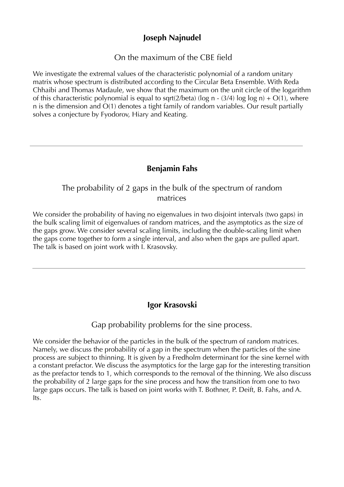# **Joseph Najnudel**

# On the maximum of the CBE field

We investigate the extremal values of the characteristic polynomial of a random unitary matrix whose spectrum is distributed according to the Circular Beta Ensemble. With Reda Chhaibi and Thomas Madaule, we show that the maximum on the unit circle of the logarithm of this characteristic polynomial is equal to sqrt(2/beta) (log n - (3/4) log log n) +  $O(1)$ , where n is the dimension and O(1) denotes a tight family of random variables. Our result partially solves a conjecture by Fyodorov, Hiary and Keating.

# **Benjamin Fahs**

# The probability of 2 gaps in the bulk of the spectrum of random matrices

We consider the probability of having no eigenvalues in two disjoint intervals (two gaps) in the bulk scaling limit of eigenvalues of random matrices, and the asymptotics as the size of the gaps grow. We consider several scaling limits, including the double-scaling limit when the gaps come together to form a single interval, and also when the gaps are pulled apart. The talk is based on joint work with I. Krasovsky.

## **Igor Krasovski**

#### Gap probability problems for the sine process.

We consider the behavior of the particles in the bulk of the spectrum of random matrices. Namely, we discuss the probability of a gap in the spectrum when the particles of the sine process are subject to thinning. It is given by a Fredholm determinant for the sine kernel with a constant prefactor. We discuss the asymptotics for the large gap for the interesting transition as the prefactor tends to 1, which corresponds to the removal of the thinning. We also discuss the probability of 2 large gaps for the sine process and how the transition from one to two large gaps occurs. The talk is based on joint works with T. Bothner, P. Deift, B. Fahs, and A. Its.